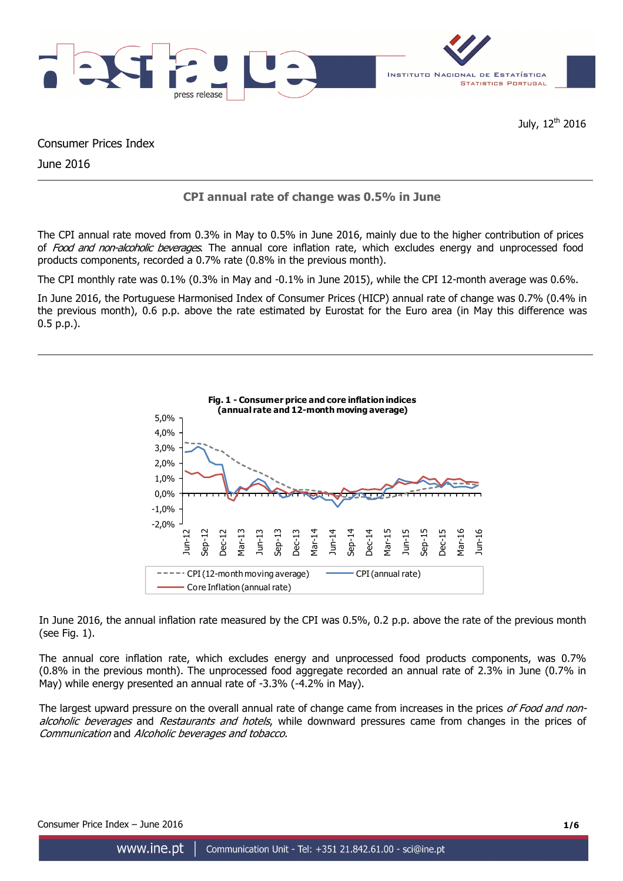

July, 12<sup>th</sup> 2016

Consumer Prices Index

June 2016

# **CPI annual rate of change was 0.5% in June**

The CPI annual rate moved from 0.3% in May to 0.5% in June 2016, mainly due to the higher contribution of prices of Food and non-alcoholic beverages. The annual core inflation rate, which excludes energy and unprocessed food products components, recorded a 0.7% rate (0.8% in the previous month).

The CPI monthly rate was 0.1% (0.3% in May and -0.1% in June 2015), while the CPI 12-month average was 0.6%.

In June 2016, the Portuguese Harmonised Index of Consumer Prices (HICP) annual rate of change was 0.7% (0.4% in the previous month), 0.6 p.p. above the rate estimated by Eurostat for the Euro area (in May this difference was 0.5 p.p.).



In June 2016, the annual inflation rate measured by the CPI was 0.5%, 0.2 p.p. above the rate of the previous month (see Fig. 1).

The annual core inflation rate, which excludes energy and unprocessed food products components, was 0.7% (0.8% in the previous month). The unprocessed food aggregate recorded an annual rate of 2.3% in June (0.7% in May) while energy presented an annual rate of -3.3% (-4.2% in May).

The largest upward pressure on the overall annual rate of change came from increases in the prices of Food and nonalcoholic beverages and Restaurants and hotels, while downward pressures came from changes in the prices of Communication and Alcoholic beverages and tobacco.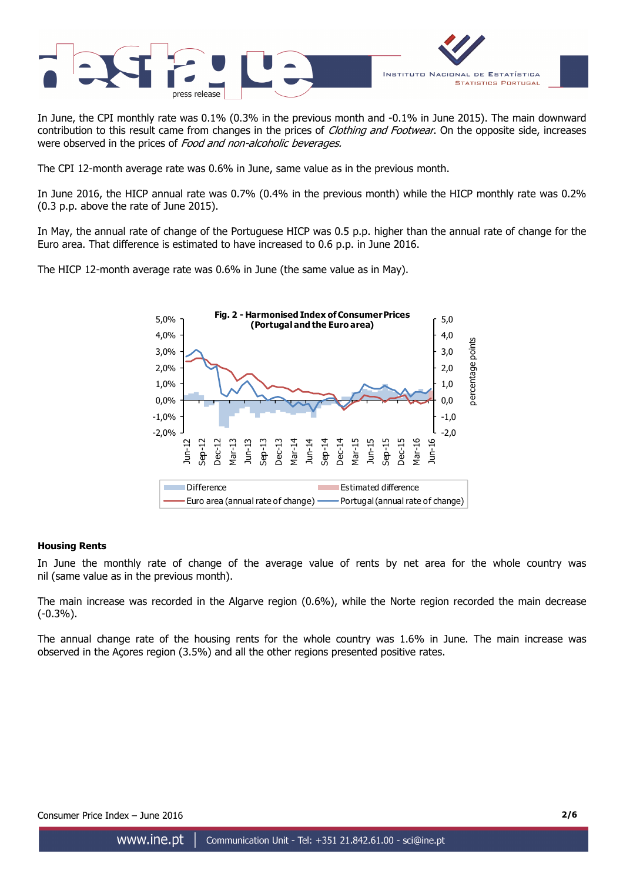

In June, the CPI monthly rate was 0.1% (0.3% in the previous month and -0.1% in June 2015). The main downward contribution to this result came from changes in the prices of *Clothing and Footwear*. On the opposite side, increases were observed in the prices of Food and non-alcoholic beverages.

The CPI 12-month average rate was 0.6% in June, same value as in the previous month.

In June 2016, the HICP annual rate was 0.7% (0.4% in the previous month) while the HICP monthly rate was 0.2% (0.3 p.p. above the rate of June 2015).

In May, the annual rate of change of the Portuguese HICP was 0.5 p.p. higher than the annual rate of change for the Euro area. That difference is estimated to have increased to 0.6 p.p. in June 2016.

The HICP 12-month average rate was 0.6% in June (the same value as in May).



### **Housing Rents**

In June the monthly rate of change of the average value of rents by net area for the whole country was nil (same value as in the previous month).

The main increase was recorded in the Algarve region (0.6%), while the Norte region recorded the main decrease (-0.3%).

The annual change rate of the housing rents for the whole country was 1.6% in June. The main increase was observed in the Açores region (3.5%) and all the other regions presented positive rates.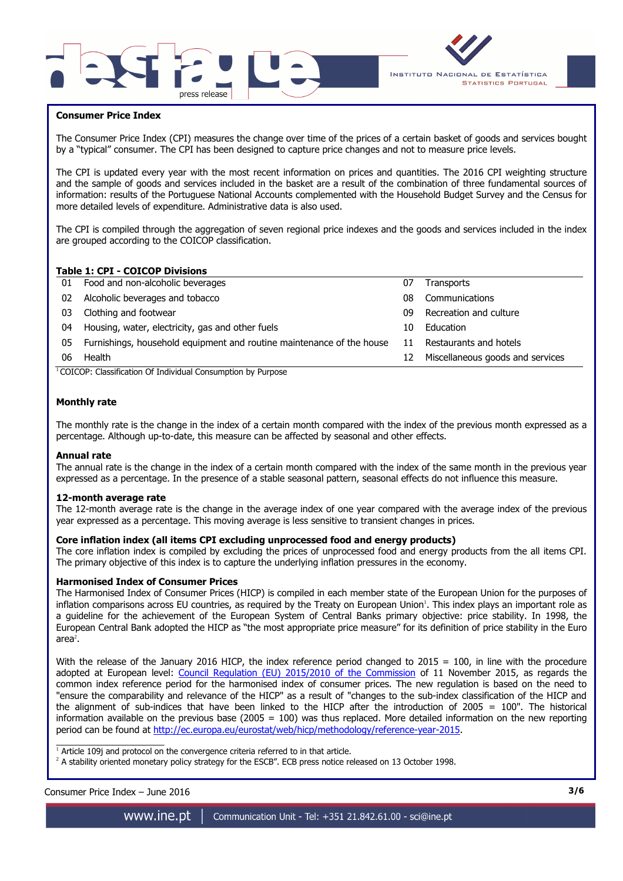



### **Consumer Price Index**

I

The Consumer Price Index (CPI) measures the change over time of the prices of a certain basket of goods and services bought by a "typical" consumer. The CPI has been designed to capture price changes and not to measure price levels.

The CPI is updated every year with the most recent information on prices and quantities. The 2016 CPI weighting structure and the sample of goods and services included in the basket are a result of the combination of three fundamental sources of information: results of the Portuguese National Accounts complemented with the Household Budget Survey and the Census for more detailed levels of expenditure. Administrative data is also used.

The CPI is compiled through the aggregation of seven regional price indexes and the goods and services included in the index are grouped according to the COICOP classification.

### **Table 1: CPI - COICOP Divisions**

| 01 | Food and non-alcoholic beverages                                      | 07 | <b>Transports</b>                |
|----|-----------------------------------------------------------------------|----|----------------------------------|
| 02 | Alcoholic beverages and tobacco                                       | 08 | Communications                   |
| 03 | Clothing and footwear                                                 | 09 | Recreation and culture           |
| 04 | Housing, water, electricity, gas and other fuels                      | 10 | Education                        |
| 05 | Furnishings, household equipment and routine maintenance of the house | 11 | Restaurants and hotels           |
| 06 | Health                                                                | 12 | Miscellaneous goods and services |
|    |                                                                       |    |                                  |

<sup>1</sup>COICOP: Classification Of Individual Consumption by Purpose

### **Monthly rate**

The monthly rate is the change in the index of a certain month compared with the index of the previous month expressed as a percentage. Although up-to-date, this measure can be affected by seasonal and other effects.

#### **Annual rate**

The annual rate is the change in the index of a certain month compared with the index of the same month in the previous year expressed as a percentage. In the presence of a stable seasonal pattern, seasonal effects do not influence this measure.

#### **12-month average rate**

The 12-month average rate is the change in the average index of one year compared with the average index of the previous year expressed as a percentage. This moving average is less sensitive to transient changes in prices.

### **Core inflation index (all items CPI excluding unprocessed food and energy products)**

The core inflation index is compiled by excluding the prices of unprocessed food and energy products from the all items CPI. The primary objective of this index is to capture the underlying inflation pressures in the economy.

#### **Harmonised Index of Consumer Prices**

The Harmonised Index of Consumer Prices (HICP) is compiled in each member state of the European Union for the purposes of inflation comparisons across EU countries, as required by the Treaty on European Union<sup>1</sup>. This index plays an important role as a guideline for the achievement of the European System of Central Banks primary objective: price stability. In 1998, the European Central Bank adopted the HICP as "the most appropriate price measure" for its definition of price stability in the Euro area $^2$ .

With the release of the January 2016 HICP, the index reference period changed to  $2015 = 100$ , in line with the procedure adopted at European level: Council Regulation (EU) 2015/2010 of the Commission of 11 November 2015, as regards the common index reference period for the harmonised index of consumer prices. The new regulation is based on the need to "ensure the comparability and relevance of the HICP" as a result of "changes to the sub-index classification of the HICP and the alignment of sub-indices that have been linked to the HICP after the introduction of 2005 = 100". The historical information available on the previous base (2005 =  $100$ ) was thus replaced. More detailed information on the new reporting period can be found at http://ec.europa.eu/eurostat/web/hicp/methodology/reference-year-2015.

1<br>Article 109j and protocol on the convergence criteria referred to in that article.

<sup>2</sup> A stability oriented monetary policy strategy for the ESCB". ECB press notice released on 13 October 1998.

www.ine.pt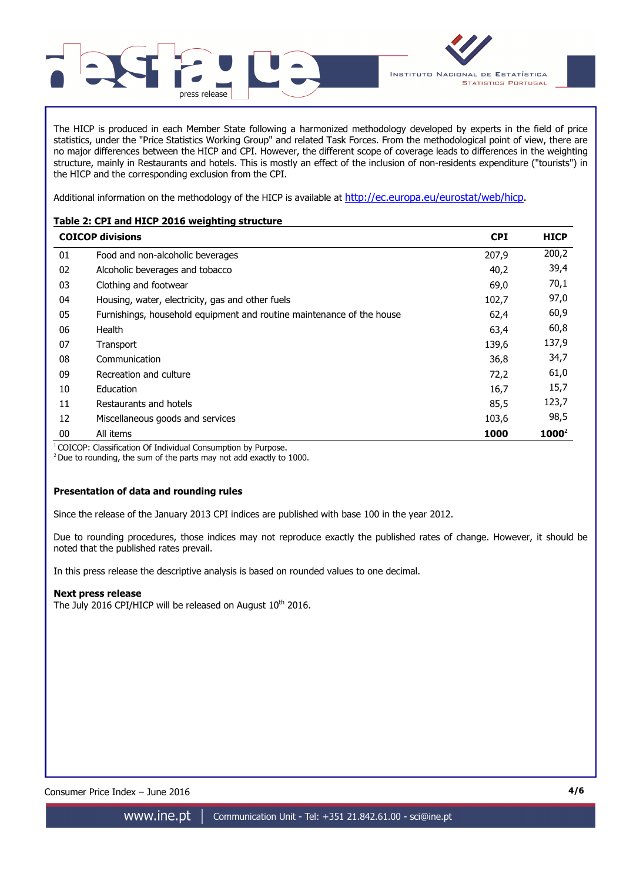

The HICP is produced in each Member State following a harmonized methodology developed by experts in the field of price statistics, under the "Price Statistics Working Group" and related Task Forces. From the methodological point of view, there are no major differences between the HICP and CPI. However, the different scope of coverage leads to differences in the weighting structure, mainly in Restaurants and hotels. This is mostly an effect of the inclusion of non-residents expenditure ("tourists") in the HICP and the corresponding exclusion from the CPI.

Additional information on the methodology of the HICP is available at http://ec.europa.eu/eurostat/web/hicp.

## **Table 2: CPI and HICP 2016 weighting structure**

|    | <b>COICOP divisions</b>                                               | <b>CPI</b> | <b>HICP</b> |
|----|-----------------------------------------------------------------------|------------|-------------|
| 01 | Food and non-alcoholic beverages                                      | 207,9      | 200,2       |
| 02 | Alcoholic beverages and tobacco                                       | 40,2       | 39,4        |
| 03 | Clothing and footwear                                                 | 69,0       | 70,1        |
| 04 | Housing, water, electricity, gas and other fuels                      | 102,7      | 97,0        |
| 05 | Furnishings, household equipment and routine maintenance of the house | 62,4       | 60,9        |
| 06 | Health                                                                | 63,4       | 60,8        |
| 07 | Transport                                                             | 139,6      | 137,9       |
| 08 | Communication                                                         | 36,8       | 34,7        |
| 09 | Recreation and culture                                                | 72,2       | 61,0        |
| 10 | Education                                                             | 16,7       | 15,7        |
| 11 | Restaurants and hotels                                                | 85,5       | 123,7       |
| 12 | Miscellaneous goods and services                                      | 103,6      | 98,5        |
| 00 | All items                                                             | 1000       | $1000^2$    |

<sup>1</sup> COICOP: Classification Of Individual Consumption by Purpose.

 $2$  Due to rounding, the sum of the parts may not add exactly to 1000.

### **Presentation of data and rounding rules**

Since the release of the January 2013 CPI indices are published with base 100 in the year 2012.

Due to rounding procedures, those indices may not reproduce exactly the published rates of change. However, it should be noted that the published rates prevail.

In this press release the descriptive analysis is based on rounded values to one decimal.

### **Next press release**

The July 2016 CPI/HICP will be released on August  $10^{th}$  2016.

Consumer Price Index – June 2016 **4/6**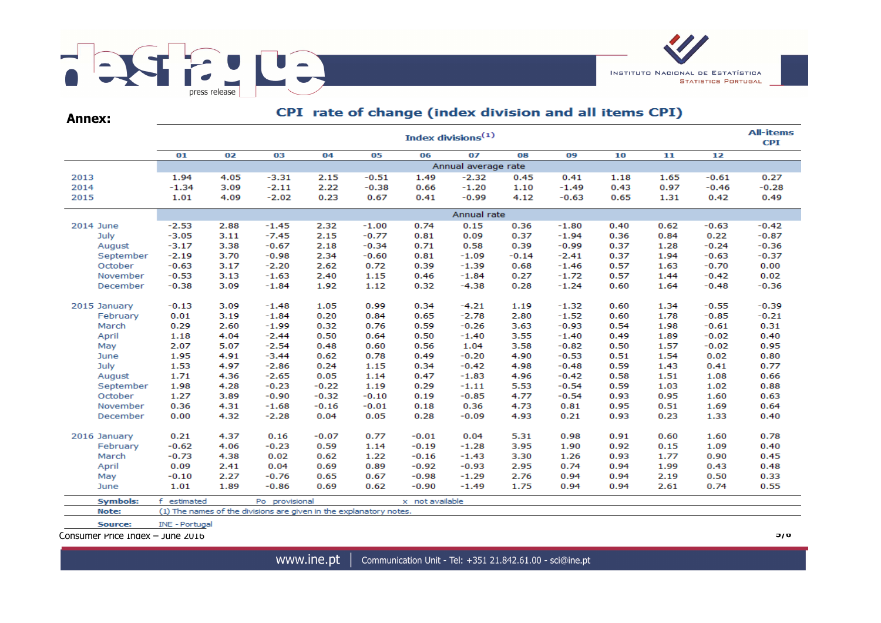

| Annex:          |             | CPI rate of change (index division and all items CPI) |                                                                    |         |         |                 |                     |         |         |      |      |         |         |  |  |  |
|-----------------|-------------|-------------------------------------------------------|--------------------------------------------------------------------|---------|---------|-----------------|---------------------|---------|---------|------|------|---------|---------|--|--|--|
|                 |             | <b>All-items</b><br>Index divisions <sup>(1)</sup>    |                                                                    |         |         |                 |                     |         |         |      |      |         |         |  |  |  |
|                 | 01          | 02                                                    | 03                                                                 | 04      | 05      | 06              | 07                  | 08      | 09      | 10   | 11   | 12      |         |  |  |  |
|                 |             |                                                       |                                                                    |         |         |                 | Annual average rate |         |         |      |      |         |         |  |  |  |
| 2013            | 1.94        | 4.05                                                  | $-3.31$                                                            | 2.15    | $-0.51$ | 1.49            | $-2.32$             | 0.45    | 0.41    | 1.18 | 1.65 | $-0.61$ | 0.27    |  |  |  |
| 2014            | $-1.34$     | 3.09                                                  | $-2.11$                                                            | 2.22    | $-0.38$ | 0.66            | $-1.20$             | 1.10    | $-1.49$ | 0.43 | 0.97 | $-0.46$ | $-0.28$ |  |  |  |
| 2015            | 1.01        | 4.09                                                  | $-2.02$                                                            | 0.23    | 0.67    | 0.41            | $-0.99$             | 4.12    | $-0.63$ | 0.65 | 1.31 | 0.42    | 0.49    |  |  |  |
|                 | Annual rate |                                                       |                                                                    |         |         |                 |                     |         |         |      |      |         |         |  |  |  |
| 2014 June       | $-2.53$     | 2.88                                                  | $-1.45$                                                            | 2.32    | $-1.00$ | 0.74            | 0.15                | 0.36    | $-1.80$ | 0.40 | 0.62 | $-0.63$ | $-0.42$ |  |  |  |
| July            | $-3.05$     | 3.11                                                  | $-7.45$                                                            | 2.15    | $-0.77$ | 0.81            | 0.09                | 0.37    | $-1.94$ | 0.36 | 0.84 | 0.22    | $-0.87$ |  |  |  |
| August          | $-3.17$     | 3.38                                                  | $-0.67$                                                            | 2.18    | $-0.34$ | 0.71            | 0.58                | 0.39    | $-0.99$ | 0.37 | 1.28 | $-0.24$ | $-0.36$ |  |  |  |
| September       | $-2.19$     | 3.70                                                  | $-0.98$                                                            | 2.34    | $-0.60$ | 0.81            | $-1.09$             | $-0.14$ | $-2.41$ | 0.37 | 1.94 | $-0.63$ | $-0.37$ |  |  |  |
| October         | $-0.63$     | 3.17                                                  | $-2.20$                                                            | 2.62    | 0.72    | 0.39            | $-1.39$             | 0.68    | $-1.46$ | 0.57 | 1.63 | $-0.70$ | 0.00    |  |  |  |
| November        | $-0.53$     | 3.13                                                  | $-1.63$                                                            | 2.40    | 1.15    | 0.46            | $-1.84$             | 0.27    | $-1.72$ | 0.57 | 1.44 | $-0.42$ | 0.02    |  |  |  |
| December        | $-0.38$     | 3.09                                                  | $-1.84$                                                            | 1.92    | 1.12    | 0.32            | $-4.38$             | 0.28    | $-1.24$ | 0.60 | 1.64 | $-0.48$ | $-0.36$ |  |  |  |
| 2015 January    | $-0.13$     | 3.09                                                  | $-1.48$                                                            | 1.05    | 0.99    | 0.34            | $-4.21$             | 1.19    | $-1.32$ | 0.60 | 1.34 | $-0.55$ | $-0.39$ |  |  |  |
| February        | 0.01        | 3.19                                                  | $-1.84$                                                            | 0.20    | 0.84    | 0.65            | $-2.78$             | 2.80    | $-1.52$ | 0.60 | 1.78 | $-0.85$ | $-0.21$ |  |  |  |
| March           | 0.29        | 2.60                                                  | $-1.99$                                                            | 0.32    | 0.76    | 0.59            | $-0.26$             | 3.63    | $-0.93$ | 0.54 | 1.98 | $-0.61$ | 0.31    |  |  |  |
| April           | 1.18        | 4.04                                                  | $-2.44$                                                            | 0.50    | 0.64    | 0.50            | $-1.40$             | 3.55    | $-1.40$ | 0.49 | 1.89 | $-0.02$ | 0.40    |  |  |  |
| May             | 2.07        | 5.07                                                  | $-2.54$                                                            | 0.48    | 0.60    | 0.56            | 1.04                | 3.58    | $-0.82$ | 0.50 | 1.57 | $-0.02$ | 0.95    |  |  |  |
| June            | 1.95        | 4.91                                                  | $-3.44$                                                            | 0.62    | 0.78    | 0.49            | $-0.20$             | 4.90    | $-0.53$ | 0.51 | 1.54 | 0.02    | 0.80    |  |  |  |
| July            | 1.53        | 4.97                                                  | $-2.86$                                                            | 0.24    | 1.15    | 0.34            | $-0.42$             | 4.98    | $-0.48$ | 0.59 | 1.43 | 0.41    | 0.77    |  |  |  |
| August          | 1.71        | 4.36                                                  | $-2.65$                                                            | 0.05    | 1.14    | 0.47            | $-1.83$             | 4.96    | $-0.42$ | 0.58 | 1.51 | 1.08    | 0.66    |  |  |  |
| September       | 1.98        | 4.28                                                  | $-0.23$                                                            | $-0.22$ | 1.19    | 0.29            | $-1.11$             | 5.53    | $-0.54$ | 0.59 | 1.03 | 1.02    | 0.88    |  |  |  |
| October         | 1.27        | 3.89                                                  | $-0.90$                                                            | $-0.32$ | $-0.10$ | 0.19            | $-0.85$             | 4.77    | $-0.54$ | 0.93 | 0.95 | 1.60    | 0.63    |  |  |  |
| November        | 0.36        | 4.31                                                  | $-1.68$                                                            | $-0.16$ | $-0.01$ | 0.18            | 0.36                | 4.73    | 0.81    | 0.95 | 0.51 | 1.69    | 0.64    |  |  |  |
| December        | 0.00        | 4.32                                                  | $-2.28$                                                            | 0.04    | 0.05    | 0.28            | $-0.09$             | 4.93    | 0.21    | 0.93 | 0.23 | 1.33    | 0.40    |  |  |  |
| 2016 January    | 0.21        | 4.37                                                  | 0.16                                                               | $-0.07$ | 0.77    | $-0.01$         | 0.04                | 5.31    | 0.98    | 0.91 | 0.60 | 1.60    | 0.78    |  |  |  |
| February        | $-0.62$     | 4.06                                                  | $-0.23$                                                            | 0.59    | 1.14    | $-0.19$         | $-1.28$             | 3.95    | 1.90    | 0.92 | 0.15 | 1.09    | 0.40    |  |  |  |
| March           | $-0.73$     | 4.38                                                  | 0.02                                                               | 0.62    | 1.22    | $-0.16$         | $-1.43$             | 3.30    | 1.26    | 0.93 | 1.77 | 0.90    | 0.45    |  |  |  |
| April           | 0.09        | 2.41                                                  | 0.04                                                               | 0.69    | 0.89    | $-0.92$         | $-0.93$             | 2.95    | 0.74    | 0.94 | 1.99 | 0.43    | 0.48    |  |  |  |
| May             | $-0.10$     | 2.27                                                  | $-0.76$                                                            | 0.65    | 0.67    | $-0.98$         | $-1.29$             | 2.76    | 0.94    | 0.94 | 2.19 | 0.50    | 0.33    |  |  |  |
| June            | 1.01        | 1.89                                                  | $-0.86$                                                            | 0.69    | 0.62    | $-0.90$         | $-1.49$             | 1.75    | 0.94    | 0.94 | 2.61 | 0.74    | 0.55    |  |  |  |
| <b>Symbols:</b> | f estimated |                                                       | Po provisional                                                     |         |         | x not available |                     |         |         |      |      |         |         |  |  |  |
| <b>Note:</b>    |             |                                                       | (1) The names of the divisions are given in the explanatory notes. |         |         |                 |                     |         |         |      |      |         |         |  |  |  |

Source: INE - Portugal

Consumer Price Index – June 2016 **5/6**

www.ine.pt | Communication Unit - Tel: +351 21.842.61.00 - sci@ine.pt